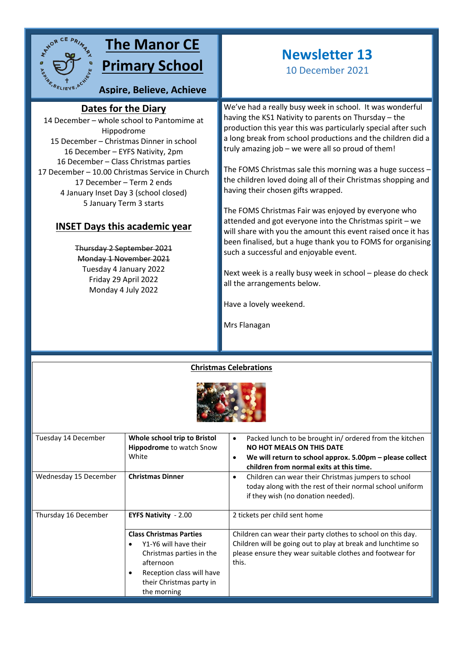

# **The Manor CE Primary School**

**Aspire, Believe, Achieve**

### **Dates for the Diary**

14 December – whole school to Pantomime at **sky**Hippodrome 15 December – Christmas Dinner in school 16 December – EYFS Nativity, 2pm 16 December – Class Christmas parties 17 December – 10.00 Christmas Service in Church 17 December – Term 2 ends 4 January Inset Day 3 (school closed) 5 January Term 3 starts

### **INSET Days this academic year**

Thursday 2 September 2021 Monday 1 November 2021 Tuesday 4 January 2022 Friday 29 April 2022 Monday 4 July 2022

# **Newsletter 13**

10 December 2021

We've had a really busy week in school. It was wonderful having the KS1 Nativity to parents on Thursday – the production this year this was particularly special after such a long break from school productions and the children did a truly amazing job – we were all so proud of them!

The FOMS Christmas sale this morning was a huge success – the children loved doing all of their Christmas shopping and having their chosen gifts wrapped.

The FOMS Christmas Fair was enjoyed by everyone who attended and got everyone into the Christmas spirit – we will share with you the amount this event raised once it has been finalised, but a huge thank you to FOMS for organising such a successful and enjoyable event.

Next week is a really busy week in school – please do check all the arrangements below.

Have a lovely weekend.

Mrs Flanagan

### **Christmas Celebrations**



| Tuesday 14 December   | Whole school trip to Bristol<br><b>Hippodrome</b> to watch Snow<br>White                                                                                                 | Packed lunch to be brought in/ordered from the kitchen<br>$\bullet$<br><b>NO HOT MEALS ON THIS DATE</b><br>We will return to school approx. 5.00pm – please collect<br>$\bullet$<br>children from normal exits at this time. |
|-----------------------|--------------------------------------------------------------------------------------------------------------------------------------------------------------------------|------------------------------------------------------------------------------------------------------------------------------------------------------------------------------------------------------------------------------|
| Wednesday 15 December | <b>Christmas Dinner</b>                                                                                                                                                  | Children can wear their Christmas jumpers to school<br>٠<br>today along with the rest of their normal school uniform<br>if they wish (no donation needed).                                                                   |
| Thursday 16 December  | <b>EYFS Nativity - 2.00</b>                                                                                                                                              | 2 tickets per child sent home                                                                                                                                                                                                |
|                       | <b>Class Christmas Parties</b><br>Y1-Y6 will have their<br>Christmas parties in the<br>afternoon<br>Reception class will have<br>their Christmas party in<br>the morning | Children can wear their party clothes to school on this day.<br>Children will be going out to play at break and lunchtime so<br>please ensure they wear suitable clothes and footwear for<br>this.                           |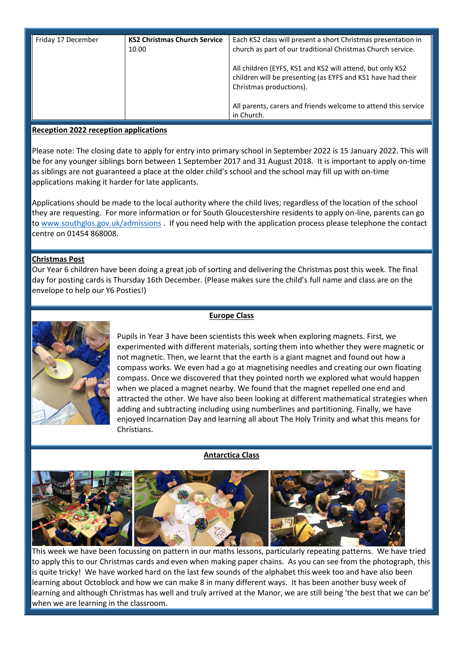| Friday 17 December | <b>KS2 Christmas Church Service</b><br>10.00 | Each KS2 class will present a short Christmas presentation in<br>church as part of our traditional Christmas Church service.                        |
|--------------------|----------------------------------------------|-----------------------------------------------------------------------------------------------------------------------------------------------------|
|                    |                                              | All children (EYFS, KS1 and KS2 will attend, but only KS2<br>children will be presenting (as EYFS and KS1 have had their<br>Christmas productions). |
|                    |                                              | All parents, carers and friends welcome to attend this service<br>in Church.                                                                        |

#### **Reception 2022 reception applications**

Please note: The closing date to apply for entry into primary school in September 2022 is 15 January 2022. This will be for any younger siblings born between 1 September 2017 and 31 August 2018. It is important to apply on-time as siblings are not guaranteed a place at the older child's school and the school may fill up with on-time applications making it harder for late applicants.

Applications should be made to the local authority where the child lives; regardless of the location of the school they are requesting. For more information or for South Gloucestershire residents to apply on-line, parents can go to [www.southglos.gov.uk/admissions](http://www.southglos.gov.uk/admissions) . If you need help with the application process please telephone the contact centre on 01454 868008.

#### **Christmas Post**

Our Year 6 children have been doing a great job of sorting and delivering the Christmas post this week. The final day for posting cards is Thursday 16th December. (Please makes sure the child's full name and class are on the envelope to help our Y6 Posties!)



#### **Europe Class**

Pupils in Year 3 have been scientists this week when exploring magnets. First, we experimented with different materials, sorting them into whether they were magnetic or not magnetic. Then, we learnt that the earth is a giant magnet and found out how a compass works. We even had a go at magnetising needles and creating our own floating compass. Once we discovered that they pointed north we explored what would happen when we placed a magnet nearby. We found that the magnet repelled one end and attracted the other. We have also been looking at different mathematical strategies when adding and subtracting including using numberlines and partitioning. Finally, we have enjoyed Incarnation Day and learning all about The Holy Trinity and what this means for Christians.

#### **Antarctica Class**



This week we have been focussing on pattern in our maths lessons, particularly repeating patterns. We have tried to apply this to our Christmas cards and even when making paper chains. As you can see from the photograph, this is quite tricky! We have worked hard on the last few sounds of the alphabet this week too and have also been learning about Octoblock and how we can make 8 in many different ways. It has been another busy week of learning and although Christmas has well and truly arrived at the Manor, we are still being 'the best that we can be' when we are learning in the classroom.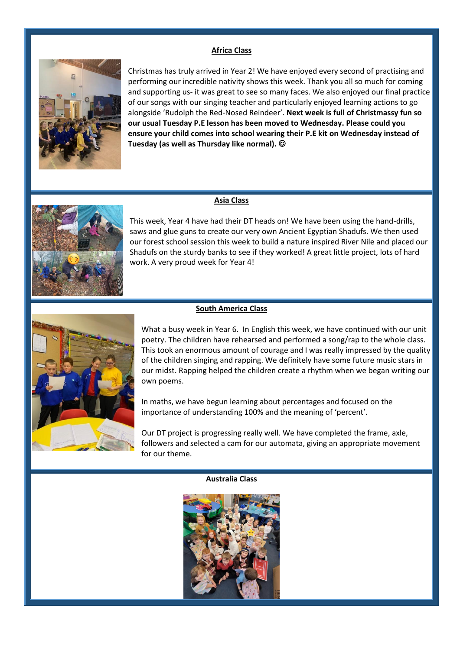#### **Africa Class**



Christmas has truly arrived in Year 2! We have enjoyed every second of practising and performing our incredible nativity shows this week. Thank you all so much for coming and supporting us- it was great to see so many faces. We also enjoyed our final practice of our songs with our singing teacher and particularly enjoyed learning actions to go alongside 'Rudolph the Red-Nosed Reindeer'. **Next week is full of Christmassy fun so our usual Tuesday P.E lesson has been moved to Wednesday. Please could you ensure your child comes into school wearing their P.E kit on Wednesday instead of Tuesday (as well as Thursday like normal).** 

#### **Asia Class**



This week, Year 4 have had their DT heads on! We have been using the hand-drills, saws and glue guns to create our very own Ancient Egyptian Shadufs. We then used our forest school session this week to build a nature inspired River Nile and placed our Shadufs on the sturdy banks to see if they worked! A great little project, lots of hard work. A very proud week for Year 4!



#### **South America Class**

What a busy week in Year 6. In English this week, we have continued with our unit poetry. The children have rehearsed and performed a song/rap to the whole class. This took an enormous amount of courage and I was really impressed by the quality of the children singing and rapping. We definitely have some future music stars in our midst. Rapping helped the children create a rhythm when we began writing our own poems.

In maths, we have begun learning about percentages and focused on the importance of understanding 100% and the meaning of 'percent'.

Our DT project is progressing really well. We have completed the frame, axle, followers and selected a cam for our automata, giving an appropriate movement for our theme.

#### **Australia Class**